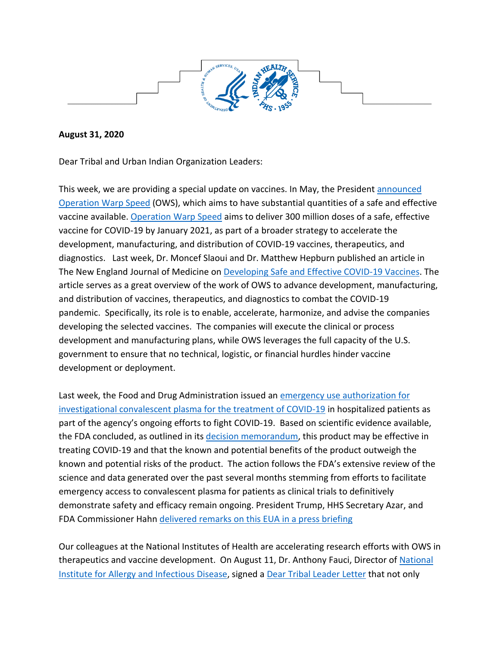

## **August 31, 2020**

Dear Tribal and Urban Indian Organization Leaders:

This week, we are providing a special update on vaccines. In May, the President [announced](https://www.hhs.gov/about/news/2020/05/15/trump-administration-announces-framework-and-leadership-for-operation-warp-speed.html)  [Operation Warp Speed](https://www.hhs.gov/about/news/2020/05/15/trump-administration-announces-framework-and-leadership-for-operation-warp-speed.html) (OWS), which aims to have substantial quantities of a safe and effective vaccine available. [Operation Warp Speed](https://www.hhs.gov/coronavirus/explaining-operation-warp-speed/index.html) aims to deliver 300 million doses of a safe, effective vaccine for COVID-19 by January 2021, as part of a broader strategy to accelerate the development, manufacturing, and distribution of COVID-19 vaccines, therapeutics, and diagnostics. Last week, Dr. Moncef Slaoui and Dr. Matthew Hepburn published an article in The New England Journal of Medicine on [Developing Safe and Effective COVID-19 Vaccines.](https://www.nejm.org/doi/full/10.1056/NEJMp2027405) The article serves as a great overview of the work of OWS to advance development, manufacturing, and distribution of vaccines, therapeutics, and diagnostics to combat the COVID-19 pandemic. Specifically, its role is to enable, accelerate, harmonize, and advise the companies developing the selected vaccines. The companies will execute the clinical or process development and manufacturing plans, while OWS leverages the full capacity of the U.S. government to ensure that no technical, logistic, or financial hurdles hinder vaccine development or deployment.

Last week, the Food and Drug Administration issued an [emergency use authorization for](https://www.fda.gov/news-events/press-announcements/fda-issues-emergency-use-authorization-convalescent-plasma-potential-promising-covid-19-treatment)  [investigational convalescent plasma for the treatment of COVID-19](https://www.fda.gov/news-events/press-announcements/fda-issues-emergency-use-authorization-convalescent-plasma-potential-promising-covid-19-treatment) in hospitalized patients as part of the agency's ongoing efforts to fight COVID-19. Based on scientific evidence available, the FDA concluded, as outlined in its [decision memorandum,](https://www.fda.gov/media/141480/download) this product may be effective in treating COVID-19 and that the known and potential benefits of the product outweigh the known and potential risks of the product. The action follows the FDA's extensive review of the science and data generated over the past several months stemming from efforts to facilitate emergency access to convalescent plasma for patients as clinical trials to definitively demonstrate safety and efficacy remain ongoing. President Trump, HHS Secretary Azar, and FDA Commissioner Hahn [delivered remarks on this EUA in a press briefing](https://www.whitehouse.gov/briefings-statements/remarks-president-trump-press-briefing-august-23-2020/)

Our colleagues at the National Institutes of Health are accelerating research efforts with OWS in therapeutics and vaccine development. On August 11, Dr. Anthony Fauci, Director of National [Institute for Allergy and Infectious Disease,](https://www.niaid.nih.gov/) signed a [Dear Tribal Leader Le](https://www.nihb.org/covid-19/wp-content/uploads/2020/08/Dear-Tribal-Leaders_11Aug2020_FINAL_signed.pdf)tter that not only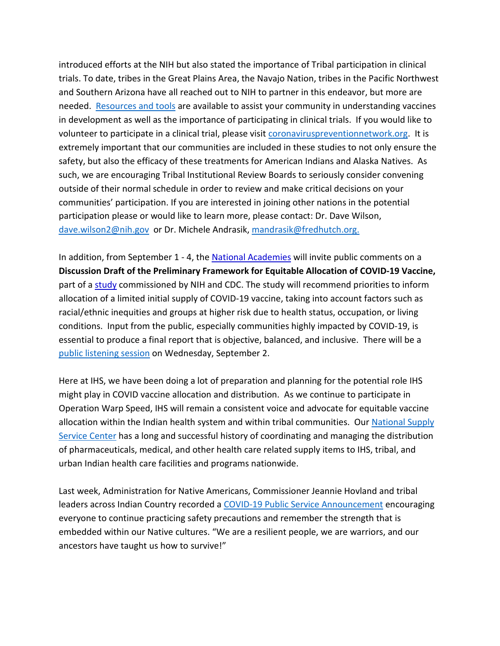introduced efforts at the NIH but also stated the importance of Tribal participation in clinical trials. To date, tribes in the Great Plains Area, the Navajo Nation, tribes in the Pacific Northwest and Southern Arizona have all reached out to NIH to partner in this endeavor, but more are needed. [Resources and tools](https://covid19community.nih.gov/) are available to assist your community in understanding vaccines in development as well as the importance of participating in clinical trials. If you would like to volunteer to participate in a clinical trial, please visit [coronaviruspreventionnetwork.org.](https://www.coronaviruspreventionnetwork.org/) It is extremely important that our communities are included in these studies to not only ensure the safety, but also the efficacy of these treatments for American Indians and Alaska Natives. As such, we are encouraging Tribal Institutional Review Boards to seriously consider convening outside of their normal schedule in order to review and make critical decisions on your communities' participation. If you are interested in joining other nations in the potential participation please or would like to learn more, please contact: Dr. Dave Wilson, [dave.wilson2@nih.gov](mailto:dave.wilson2@nih.gov) or Dr. Michele Andrasik, [mandrasik@fredhutch.org.](mailto:mandrasik@fredhutch.org)

In addition, from September 1 - 4, the [National Academies](https://protect2.fireeye.com/url?k=c1155fa7-9d4056b4-c1156e98-0cc47adb5650-4feaf418b04ec062&u=https://nationalacademies.us8.list-manage.com/track/click?u=ab74d126b7d2db12591de5c2c&id=8689678fdd&e=d280270409) will invite public comments on a **Discussion Draft of the Preliminary Framework for Equitable Allocation of COVID-19 Vaccine,** part of a [study](https://protect2.fireeye.com/url?k=779d7a19-2bc8730a-779d4b26-0cc47adb5650-3c7f64390e1a0ee3&u=https://nationalacademies.us8.list-manage.com/track/click?u=ab74d126b7d2db12591de5c2c&id=7605c68ed7&e=d280270409) commissioned by NIH and CDC. The study will recommend priorities to inform allocation of a limited initial supply of COVID-19 vaccine, taking into account factors such as racial/ethnic inequities and groups at higher risk due to health status, occupation, or living conditions. Input from the public, especially communities highly impacted by COVID-19, is essential to produce a final report that is objective, balanced, and inclusive. There will be a [public listening session](https://www.nationalacademies.org/event/09-02-2020/public-listening-session-discussion-draft-of-the-preliminary-framework-for-equitable-allocation-of-covid-19-vaccine) on Wednesday, September 2.

Here at IHS, we have been doing a lot of preparation and planning for the potential role IHS might play in COVID vaccine allocation and distribution. As we continue to participate in Operation Warp Speed, IHS will remain a consistent voice and advocate for equitable vaccine allocation within the Indian health system and within tribal communities. Our [National Supply](https://www.ihs.gov/nssc/)  [Service Center](https://www.ihs.gov/nssc/) has a long and successful history of coordinating and managing the distribution of pharmaceuticals, medical, and other health care related supply items to IHS, tribal, and urban Indian health care facilities and programs nationwide.

Last week, Administration for Native Americans, Commissioner Jeannie Hovland and tribal leaders across Indian Country recorded a [COVID-19 Public Service Announcement](https://www.youtube.com/watch?v=_gVGg_3AxWQ&feature=youtu.be) encouraging everyone to continue practicing safety precautions and remember the strength that is embedded within our Native cultures. "We are a resilient people, we are warriors, and our ancestors have taught us how to survive!"